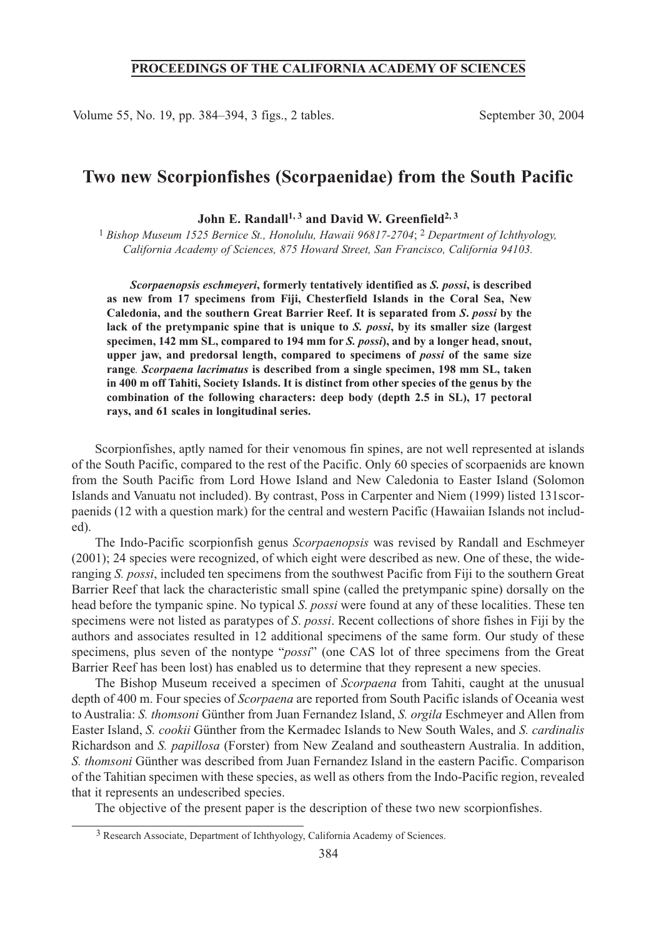# **PROCEEDINGS OF THE CALIFORNIA ACADEMY OF SCIENCES**

Volume 55, No. 19, pp. 384–394, 3 figs., 2 tables. September 30, 2004

# **Two new Scorpionfishes (Scorpaenidae) from the South Pacific**

John E. Randall<sup>1, 3</sup> and David W. Greenfield<sup>2, 3</sup>

1 *Bishop Museum 1525 Bernice St., Honolulu, Hawaii 96817-2704*; 2 *Department of Ichthyology, California Academy of Sciences, 875 Howard Street, San Francisco, California 94103.*

*Scorpaenopsis eschmeyeri***, formerly tentatively identified as** *S. possi***, is described as new from 17 specimens from Fiji, Chesterfield Islands in the Coral Sea, New Caledonia, and the southern Great Barrier Reef. It is separated from** *S***.** *possi* **by the lack of the pretympanic spine that is unique to** *S. possi***, by its smaller size (largest specimen, 142 mm SL, compared to 194 mm for** *S. possi***), and by a longer head, snout, upper jaw, and predorsal length, compared to specimens of** *possi* **of the same size range***. Scorpaena lacrimatus* **is described from a single specimen, 198 mm SL, taken in 400 m off Tahiti, Society Islands. It is distinct from other species of the genus by the combination of the following characters: deep body (depth 2.5 in SL), 17 pectoral rays, and 61 scales in longitudinal series.**

Scorpionfishes, aptly named for their venomous fin spines, are not well represented at islands of the South Pacific, compared to the rest of the Pacific. Only 60 species of scorpaenids are known from the South Pacific from Lord Howe Island and New Caledonia to Easter Island (Solomon Islands and Vanuatu not included). By contrast, Poss in Carpenter and Niem (1999) listed 131scorpaenids (12 with a question mark) for the central and western Pacific (Hawaiian Islands not included).

The Indo-Pacific scorpionfish genus *Scorpaenopsis* was revised by Randall and Eschmeyer (2001); 24 species were recognized, of which eight were described as new. One of these, the wideranging *S. possi*, included ten specimens from the southwest Pacific from Fiji to the southern Great Barrier Reef that lack the characteristic small spine (called the pretympanic spine) dorsally on the head before the tympanic spine. No typical *S*. *possi* were found at any of these localities. These ten specimens were not listed as paratypes of *S*. *possi*. Recent collections of shore fishes in Fiji by the authors and associates resulted in 12 additional specimens of the same form. Our study of these specimens, plus seven of the nontype "*possi*" (one CAS lot of three specimens from the Great Barrier Reef has been lost) has enabled us to determine that they represent a new species.

The Bishop Museum received a specimen of *Scorpaena* from Tahiti, caught at the unusual depth of 400 m. Four species of *Scorpaena* are reported from South Pacific islands of Oceania west to Australia: *S. thomsoni* Günther from Juan Fernandez Island, *S. orgila* Eschmeyer and Allen from Easter Island, *S. cookii* Günther from the Kermadec Islands to New South Wales, and *S. cardinalis* Richardson and *S. papillosa* (Forster) from New Zealand and southeastern Australia. In addition, *S. thomsoni* Günther was described from Juan Fernandez Island in the eastern Pacific. Comparison of the Tahitian specimen with these species, as well as others from the Indo-Pacific region, revealed that it represents an undescribed species.

The objective of the present paper is the description of these two new scorpionfishes.

<sup>3</sup> Research Associate, Department of Ichthyology, California Academy of Sciences.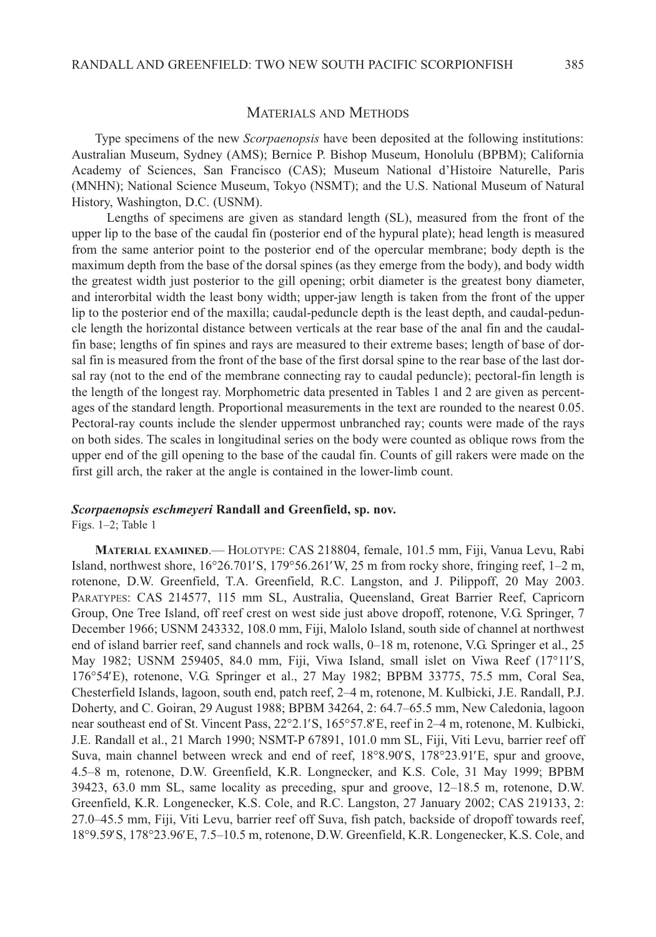### MATERIALS AND METHODS

Type specimens of the new *Scorpaenopsis* have been deposited at the following institutions: Australian Museum, Sydney (AMS); Bernice P. Bishop Museum, Honolulu (BPBM); California Academy of Sciences, San Francisco (CAS); Museum National d'Histoire Naturelle, Paris (MNHN); National Science Museum, Tokyo (NSMT); and the U.S. National Museum of Natural History, Washington, D.C. (USNM).

Lengths of specimens are given as standard length (SL), measured from the front of the upper lip to the base of the caudal fin (posterior end of the hypural plate); head length is measured from the same anterior point to the posterior end of the opercular membrane; body depth is the maximum depth from the base of the dorsal spines (as they emerge from the body), and body width the greatest width just posterior to the gill opening; orbit diameter is the greatest bony diameter, and interorbital width the least bony width; upper-jaw length is taken from the front of the upper lip to the posterior end of the maxilla; caudal-peduncle depth is the least depth, and caudal-peduncle length the horizontal distance between verticals at the rear base of the anal fin and the caudalfin base; lengths of fin spines and rays are measured to their extreme bases; length of base of dorsal fin is measured from the front of the base of the first dorsal spine to the rear base of the last dorsal ray (not to the end of the membrane connecting ray to caudal peduncle); pectoral-fin length is the length of the longest ray. Morphometric data presented in Tables 1 and 2 are given as percentages of the standard length. Proportional measurements in the text are rounded to the nearest 0.05. Pectoral-ray counts include the slender uppermost unbranched ray; counts were made of the rays on both sides. The scales in longitudinal series on the body were counted as oblique rows from the upper end of the gill opening to the base of the caudal fin. Counts of gill rakers were made on the first gill arch, the raker at the angle is contained in the lower-limb count.

# *Scorpaenopsis eschmeyeri* **Randall and Greenfield, sp. nov.**

Figs. 1–2; Table 1

**MATERIAL EXAMINED**.— HOLOTYPE: CAS 218804, female, 101.5 mm, Fiji, Vanua Levu, Rabi Island, northwest shore, 16°26.701′S, 179°56.261′W, 25 m from rocky shore, fringing reef, 1–2 m, rotenone, D.W. Greenfield, T.A. Greenfield, R.C. Langston, and J. Pilippoff, 20 May 2003. PARATYPES: CAS 214577, 115 mm SL, Australia, Queensland, Great Barrier Reef, Capricorn Group, One Tree Island, off reef crest on west side just above dropoff, rotenone, V.G. Springer, 7 December 1966; USNM 243332, 108.0 mm, Fiji, Malolo Island, south side of channel at northwest end of island barrier reef, sand channels and rock walls, 0–18 m, rotenone, V.G. Springer et al., 25 May 1982; USNM 259405, 84.0 mm, Fiji, Viwa Island, small islet on Viwa Reef (17°11′S, 176°54′E), rotenone, V.G. Springer et al., 27 May 1982; BPBM 33775, 75.5 mm, Coral Sea, Chesterfield Islands, lagoon, south end, patch reef, 2–4 m, rotenone, M. Kulbicki, J.E. Randall, P.J. Doherty, and C. Goiran, 29 August 1988; BPBM 34264, 2: 64.7–65.5 mm, New Caledonia, lagoon near southeast end of St. Vincent Pass, 22°2.1′S, 165°57.8′E, reef in 2–4 m, rotenone, M. Kulbicki, J.E. Randall et al., 21 March 1990; NSMT-P 67891, 101.0 mm SL, Fiji, Viti Levu, barrier reef off Suva, main channel between wreck and end of reef, 18°8.90′S, 178°23.91′E, spur and groove, 4.5–8 m, rotenone, D.W. Greenfield, K.R. Longnecker, and K.S. Cole, 31 May 1999; BPBM 39423, 63.0 mm SL, same locality as preceding, spur and groove, 12–18.5 m, rotenone, D.W. Greenfield, K.R. Longenecker, K.S. Cole, and R.C. Langston, 27 January 2002; CAS 219133, 2: 27.0–45.5 mm, Fiji, Viti Levu, barrier reef off Suva, fish patch, backside of dropoff towards reef, 18°9.59′S, 178°23.96′E, 7.5–10.5 m, rotenone, D.W. Greenfield, K.R. Longenecker, K.S. Cole, and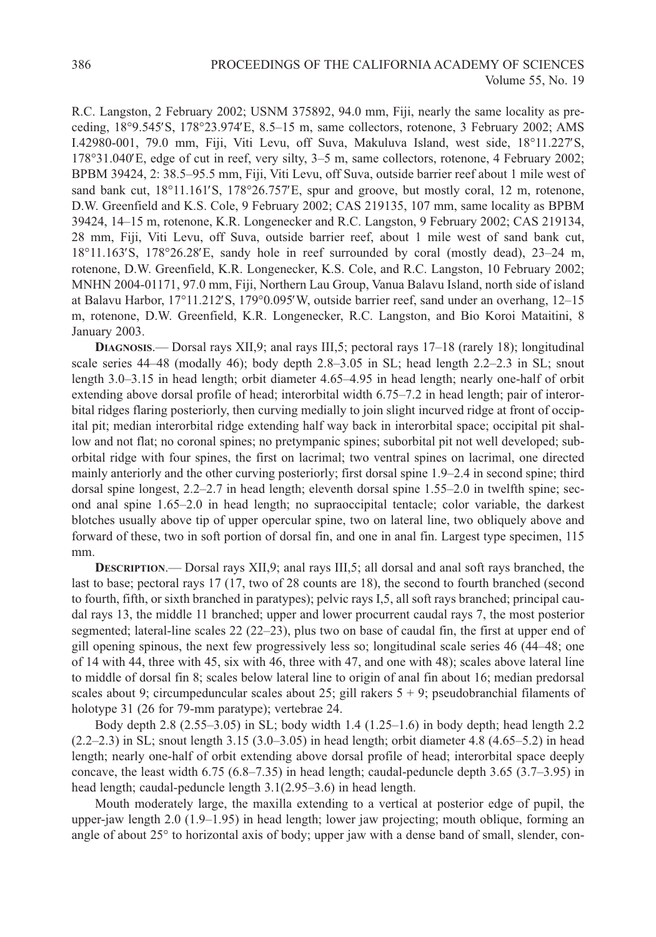R.C. Langston, 2 February 2002; USNM 375892, 94.0 mm, Fiji, nearly the same locality as preceding, 18°9.545′S, 178°23.974′E, 8.5–15 m, same collectors, rotenone, 3 February 2002; AMS I.42980-001, 79.0 mm, Fiji, Viti Levu, off Suva, Makuluva Island, west side, 18°11.227′S, 178°31.040′E, edge of cut in reef, very silty, 3–5 m, same collectors, rotenone, 4 February 2002; BPBM 39424, 2: 38.5–95.5 mm, Fiji, Viti Levu, off Suva, outside barrier reef about 1 mile west of sand bank cut,  $18^{\circ}11.161'S$ ,  $178^{\circ}26.757'E$ , spur and groove, but mostly coral, 12 m, rotenone, D.W. Greenfield and K.S. Cole, 9 February 2002; CAS 219135, 107 mm, same locality as BPBM 39424, 14–15 m, rotenone, K.R. Longenecker and R.C. Langston, 9 February 2002; CAS 219134, 28 mm, Fiji, Viti Levu, off Suva, outside barrier reef, about 1 mile west of sand bank cut, 18°11.163′S, 178°26.28′E, sandy hole in reef surrounded by coral (mostly dead), 23–24 m, rotenone, D.W. Greenfield, K.R. Longenecker, K.S. Cole, and R.C. Langston, 10 February 2002; MNHN 2004-01171, 97.0 mm, Fiji, Northern Lau Group, Vanua Balavu Island, north side of island at Balavu Harbor, 17°11.212′S, 179°0.095′W, outside barrier reef, sand under an overhang, 12–15 m, rotenone, D.W. Greenfield, K.R. Longenecker, R.C. Langston, and Bio Koroi Mataitini, 8 January 2003.

**DIAGNOSIS**.— Dorsal rays XII,9; anal rays III,5; pectoral rays 17–18 (rarely 18); longitudinal scale series 44–48 (modally 46); body depth 2.8–3.05 in SL; head length 2.2–2.3 in SL; snout length 3.0–3.15 in head length; orbit diameter 4.65–4.95 in head length; nearly one-half of orbit extending above dorsal profile of head; interorbital width 6.75–7.2 in head length; pair of interorbital ridges flaring posteriorly, then curving medially to join slight incurved ridge at front of occipital pit; median interorbital ridge extending half way back in interorbital space; occipital pit shallow and not flat; no coronal spines; no pretympanic spines; suborbital pit not well developed; suborbital ridge with four spines, the first on lacrimal; two ventral spines on lacrimal, one directed mainly anteriorly and the other curving posteriorly; first dorsal spine 1.9–2.4 in second spine; third dorsal spine longest, 2.2–2.7 in head length; eleventh dorsal spine 1.55–2.0 in twelfth spine; second anal spine 1.65–2.0 in head length; no supraoccipital tentacle; color variable, the darkest blotches usually above tip of upper opercular spine, two on lateral line, two obliquely above and forward of these, two in soft portion of dorsal fin, and one in anal fin. Largest type specimen, 115 mm.

**DESCRIPTION**.— Dorsal rays XII,9; anal rays III,5; all dorsal and anal soft rays branched, the last to base; pectoral rays 17 (17, two of 28 counts are 18), the second to fourth branched (second to fourth, fifth, or sixth branched in paratypes); pelvic rays I,5, all soft rays branched; principal caudal rays 13, the middle 11 branched; upper and lower procurrent caudal rays 7, the most posterior segmented; lateral-line scales 22 (22–23), plus two on base of caudal fin, the first at upper end of gill opening spinous, the next few progressively less so; longitudinal scale series 46 (44–48; one of 14 with 44, three with 45, six with 46, three with 47, and one with 48); scales above lateral line to middle of dorsal fin 8; scales below lateral line to origin of anal fin about 16; median predorsal scales about 9; circumpeduncular scales about 25; gill rakers  $5 + 9$ ; pseudobranchial filaments of holotype 31 (26 for 79-mm paratype); vertebrae 24.

Body depth 2.8 (2.55–3.05) in SL; body width 1.4 (1.25–1.6) in body depth; head length 2.2  $(2.2–2.3)$  in SL; snout length 3.15 (3.0–3.05) in head length; orbit diameter 4.8 (4.65–5.2) in head length; nearly one-half of orbit extending above dorsal profile of head; interorbital space deeply concave, the least width 6.75 (6.8–7.35) in head length; caudal-peduncle depth 3.65 (3.7–3.95) in head length; caudal-peduncle length 3.1(2.95–3.6) in head length.

Mouth moderately large, the maxilla extending to a vertical at posterior edge of pupil, the upper-jaw length 2.0 (1.9–1.95) in head length; lower jaw projecting; mouth oblique, forming an angle of about 25° to horizontal axis of body; upper jaw with a dense band of small, slender, con-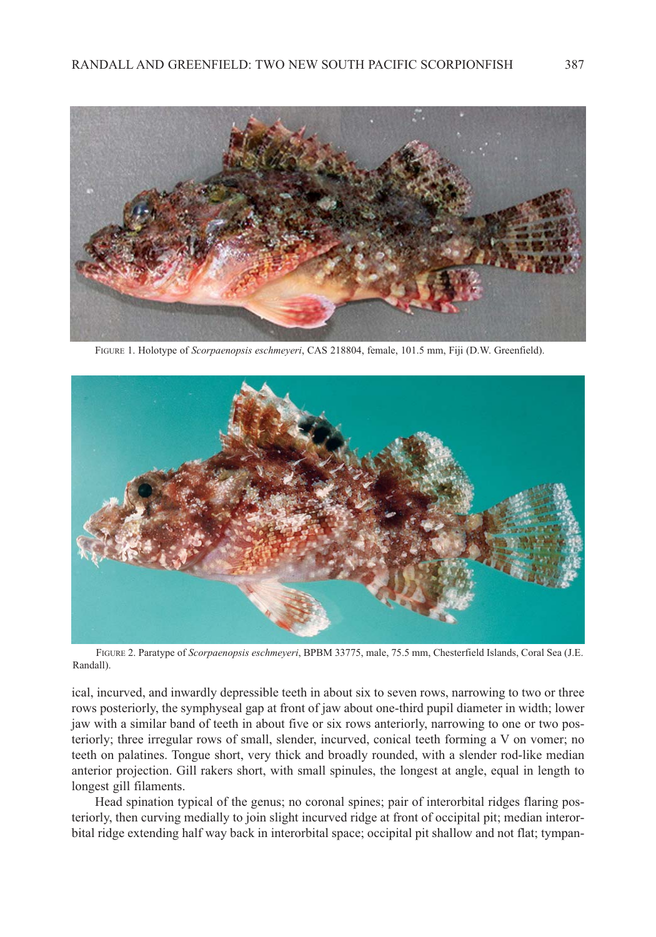

FIGURE 1. Holotype of *Scorpaenopsis eschmeyeri*, CAS 218804, female, 101.5 mm, Fiji (D.W. Greenfield).



FIGURE 2. Paratype of *Scorpaenopsis eschmeyeri*, BPBM 33775, male, 75.5 mm, Chesterfield Islands, Coral Sea (J.E. Randall).

ical, incurved, and inwardly depressible teeth in about six to seven rows, narrowing to two or three rows posteriorly, the symphyseal gap at front of jaw about one-third pupil diameter in width; lower jaw with a similar band of teeth in about five or six rows anteriorly, narrowing to one or two posteriorly; three irregular rows of small, slender, incurved, conical teeth forming a V on vomer; no teeth on palatines. Tongue short, very thick and broadly rounded, with a slender rod-like median anterior projection. Gill rakers short, with small spinules, the longest at angle, equal in length to longest gill filaments.

Head spination typical of the genus; no coronal spines; pair of interorbital ridges flaring posteriorly, then curving medially to join slight incurved ridge at front of occipital pit; median interorbital ridge extending half way back in interorbital space; occipital pit shallow and not flat; tympan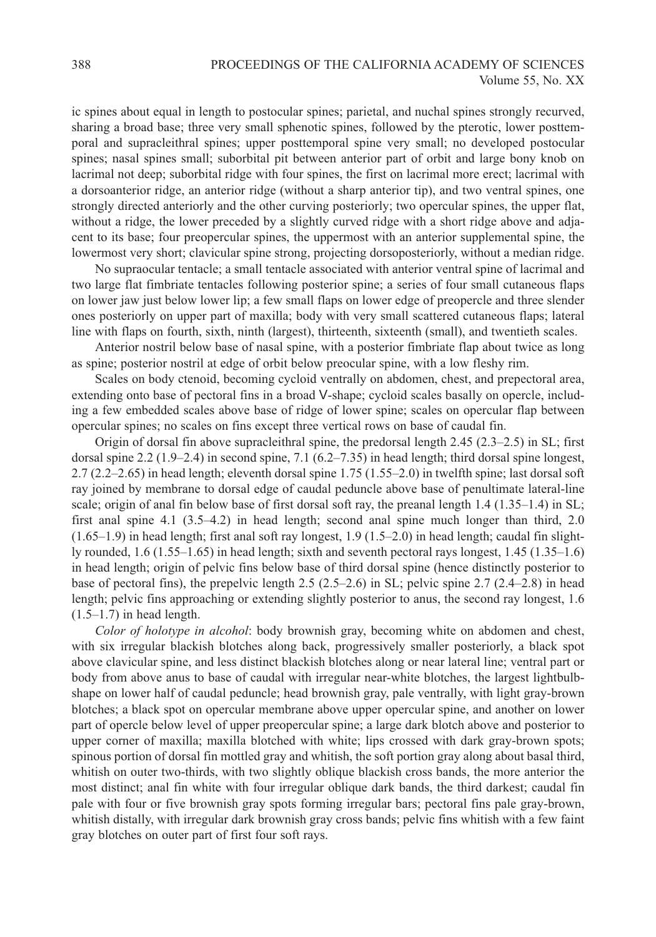ic spines about equal in length to postocular spines; parietal, and nuchal spines strongly recurved, sharing a broad base; three very small sphenotic spines, followed by the pterotic, lower posttemporal and supracleithral spines; upper posttemporal spine very small; no developed postocular spines; nasal spines small; suborbital pit between anterior part of orbit and large bony knob on lacrimal not deep; suborbital ridge with four spines, the first on lacrimal more erect; lacrimal with a dorsoanterior ridge, an anterior ridge (without a sharp anterior tip), and two ventral spines, one strongly directed anteriorly and the other curving posteriorly; two opercular spines, the upper flat, without a ridge, the lower preceded by a slightly curved ridge with a short ridge above and adjacent to its base; four preopercular spines, the uppermost with an anterior supplemental spine, the lowermost very short; clavicular spine strong, projecting dorsoposteriorly, without a median ridge.

No supraocular tentacle; a small tentacle associated with anterior ventral spine of lacrimal and two large flat fimbriate tentacles following posterior spine; a series of four small cutaneous flaps on lower jaw just below lower lip; a few small flaps on lower edge of preopercle and three slender ones posteriorly on upper part of maxilla; body with very small scattered cutaneous flaps; lateral line with flaps on fourth, sixth, ninth (largest), thirteenth, sixteenth (small), and twentieth scales.

Anterior nostril below base of nasal spine, with a posterior fimbriate flap about twice as long as spine; posterior nostril at edge of orbit below preocular spine, with a low fleshy rim.

Scales on body ctenoid, becoming cycloid ventrally on abdomen, chest, and prepectoral area, extending onto base of pectoral fins in a broad V-shape; cycloid scales basally on opercle, including a few embedded scales above base of ridge of lower spine; scales on opercular flap between opercular spines; no scales on fins except three vertical rows on base of caudal fin.

Origin of dorsal fin above supracleithral spine, the predorsal length 2.45 (2.3–2.5) in SL; first dorsal spine 2.2 (1.9–2.4) in second spine, 7.1 (6.2–7.35) in head length; third dorsal spine longest, 2.7 (2.2–2.65) in head length; eleventh dorsal spine 1.75 (1.55–2.0) in twelfth spine; last dorsal soft ray joined by membrane to dorsal edge of caudal peduncle above base of penultimate lateral-line scale; origin of anal fin below base of first dorsal soft ray, the preanal length 1.4 (1.35–1.4) in SL; first anal spine 4.1 (3.5–4.2) in head length; second anal spine much longer than third, 2.0 (1.65–1.9) in head length; first anal soft ray longest, 1.9 (1.5–2.0) in head length; caudal fin slightly rounded, 1.6 (1.55–1.65) in head length; sixth and seventh pectoral rays longest, 1.45 (1.35–1.6) in head length; origin of pelvic fins below base of third dorsal spine (hence distinctly posterior to base of pectoral fins), the prepelvic length 2.5 (2.5–2.6) in SL; pelvic spine 2.7 (2.4–2.8) in head length; pelvic fins approaching or extending slightly posterior to anus, the second ray longest, 1.6  $(1.5-1.7)$  in head length.

*Color of holotype in alcohol*: body brownish gray, becoming white on abdomen and chest, with six irregular blackish blotches along back, progressively smaller posteriorly, a black spot above clavicular spine, and less distinct blackish blotches along or near lateral line; ventral part or body from above anus to base of caudal with irregular near-white blotches, the largest lightbulbshape on lower half of caudal peduncle; head brownish gray, pale ventrally, with light gray-brown blotches; a black spot on opercular membrane above upper opercular spine, and another on lower part of opercle below level of upper preopercular spine; a large dark blotch above and posterior to upper corner of maxilla; maxilla blotched with white; lips crossed with dark gray-brown spots; spinous portion of dorsal fin mottled gray and whitish, the soft portion gray along about basal third, whitish on outer two-thirds, with two slightly oblique blackish cross bands, the more anterior the most distinct; anal fin white with four irregular oblique dark bands, the third darkest; caudal fin pale with four or five brownish gray spots forming irregular bars; pectoral fins pale gray-brown, whitish distally, with irregular dark brownish gray cross bands; pelvic fins whitish with a few faint gray blotches on outer part of first four soft rays.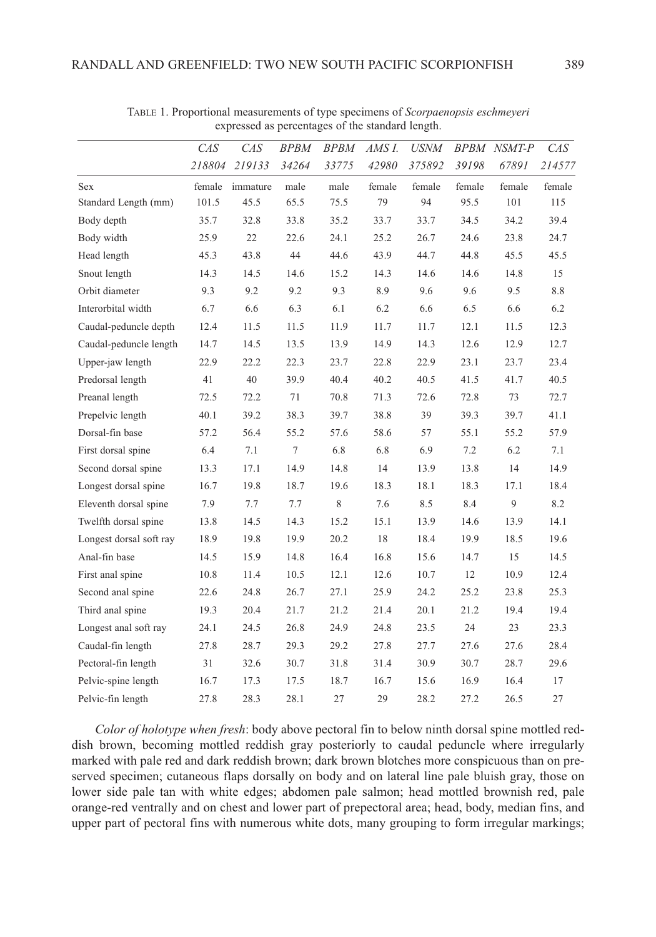|                         | CAS<br>218804 | CAS<br>219133 | <b>BPBM</b><br>34264 | <b>BPBM</b><br>33775 | AMS I.<br>42980 | <b>USNM</b><br>375892 | 39198  | <b>BPBM NSMT-P</b><br>67891 | CAS<br>214577 |
|-------------------------|---------------|---------------|----------------------|----------------------|-----------------|-----------------------|--------|-----------------------------|---------------|
|                         |               |               |                      |                      |                 |                       |        |                             |               |
| Sex                     | female        | immature      | male                 | male                 | female          | female                | female | female                      | female        |
| Standard Length (mm)    | 101.5         | 45.5          | 65.5                 | 75.5                 | 79              | 94                    | 95.5   | 101                         | 115           |
| Body depth              | 35.7          | 32.8          | 33.8                 | 35.2                 | 33.7            | 33.7                  | 34.5   | 34.2                        | 39.4          |
| Body width              | 25.9          | 22            | 22.6                 | 24.1                 | 25.2            | 26.7                  | 24.6   | 23.8                        | 24.7          |
| Head length             | 45.3          | 43.8          | 44                   | 44.6                 | 43.9            | 44.7                  | 44.8   | 45.5                        | 45.5          |
| Snout length            | 14.3          | 14.5          | 14.6                 | 15.2                 | 14.3            | 14.6                  | 14.6   | 14.8                        | 15            |
| Orbit diameter          | 9.3           | 9.2           | 9.2                  | 9.3                  | 8.9             | 9.6                   | 9.6    | 9.5                         | 8.8           |
| Interorbital width      | 6.7           | 6.6           | 6.3                  | 6.1                  | 6.2             | 6.6                   | 6.5    | 6.6                         | 6.2           |
| Caudal-peduncle depth   | 12.4          | 11.5          | 11.5                 | 11.9                 | 11.7            | 11.7                  | 12.1   | 11.5                        | 12.3          |
| Caudal-peduncle length  | 14.7          | 14.5          | 13.5                 | 13.9                 | 14.9            | 14.3                  | 12.6   | 12.9                        | 12.7          |
| Upper-jaw length        | 22.9          | 22.2          | 22.3                 | 23.7                 | 22.8            | 22.9                  | 23.1   | 23.7                        | 23.4          |
| Predorsal length        | 41            | 40            | 39.9                 | 40.4                 | 40.2            | 40.5                  | 41.5   | 41.7                        | 40.5          |
| Preanal length          | 72.5          | 72.2          | 71                   | 70.8                 | 71.3            | 72.6                  | 72.8   | 73                          | 72.7          |
| Prepelvic length        | 40.1          | 39.2          | 38.3                 | 39.7                 | 38.8            | 39                    | 39.3   | 39.7                        | 41.1          |
| Dorsal-fin base         | 57.2          | 56.4          | 55.2                 | 57.6                 | 58.6            | 57                    | 55.1   | 55.2                        | 57.9          |
| First dorsal spine      | 6.4           | 7.1           | $\overline{7}$       | 6.8                  | 6.8             | 6.9                   | 7.2    | 6.2                         | 7.1           |
| Second dorsal spine     | 13.3          | 17.1          | 14.9                 | 14.8                 | 14              | 13.9                  | 13.8   | 14                          | 14.9          |
| Longest dorsal spine    | 16.7          | 19.8          | 18.7                 | 19.6                 | 18.3            | 18.1                  | 18.3   | 17.1                        | 18.4          |
| Eleventh dorsal spine   | 7.9           | 7.7           | 7.7                  | 8                    | 7.6             | 8.5                   | 8.4    | 9                           | 8.2           |
| Twelfth dorsal spine    | 13.8          | 14.5          | 14.3                 | 15.2                 | 15.1            | 13.9                  | 14.6   | 13.9                        | 14.1          |
| Longest dorsal soft ray | 18.9          | 19.8          | 19.9                 | 20.2                 | 18              | 18.4                  | 19.9   | 18.5                        | 19.6          |
| Anal-fin base           | 14.5          | 15.9          | 14.8                 | 16.4                 | 16.8            | 15.6                  | 14.7   | 15                          | 14.5          |
| First anal spine        | 10.8          | 11.4          | 10.5                 | 12.1                 | 12.6            | 10.7                  | 12     | 10.9                        | 12.4          |
| Second anal spine       | 22.6          | 24.8          | 26.7                 | 27.1                 | 25.9            | 24.2                  | 25.2   | 23.8                        | 25.3          |
| Third anal spine        | 19.3          | 20.4          | 21.7                 | 21.2                 | 21.4            | 20.1                  | 21.2   | 19.4                        | 19.4          |
| Longest anal soft ray   | 24.1          | 24.5          | 26.8                 | 24.9                 | 24.8            | 23.5                  | 24     | 23                          | 23.3          |
| Caudal-fin length       | 27.8          | 28.7          | 29.3                 | 29.2                 | 27.8            | 27.7                  | 27.6   | 27.6                        | 28.4          |
| Pectoral-fin length     | 31            | 32.6          | 30.7                 | 31.8                 | 31.4            | 30.9                  | 30.7   | 28.7                        | 29.6          |
| Pelvic-spine length     | 16.7          | 17.3          | 17.5                 | 18.7                 | 16.7            | 15.6                  | 16.9   | 16.4                        | 17            |
| Pelvic-fin length       | 27.8          | 28.3          | 28.1                 | 27                   | 29              | 28.2                  | 27.2   | 26.5                        | 27            |

TABLE 1. Proportional measurements of type specimens of *Scorpaenopsis eschmeyeri* expressed as percentages of the standard length.

*Color of holotype when fresh*: body above pectoral fin to below ninth dorsal spine mottled reddish brown, becoming mottled reddish gray posteriorly to caudal peduncle where irregularly marked with pale red and dark reddish brown; dark brown blotches more conspicuous than on preserved specimen; cutaneous flaps dorsally on body and on lateral line pale bluish gray, those on lower side pale tan with white edges; abdomen pale salmon; head mottled brownish red, pale orange-red ventrally and on chest and lower part of prepectoral area; head, body, median fins, and upper part of pectoral fins with numerous white dots, many grouping to form irregular markings;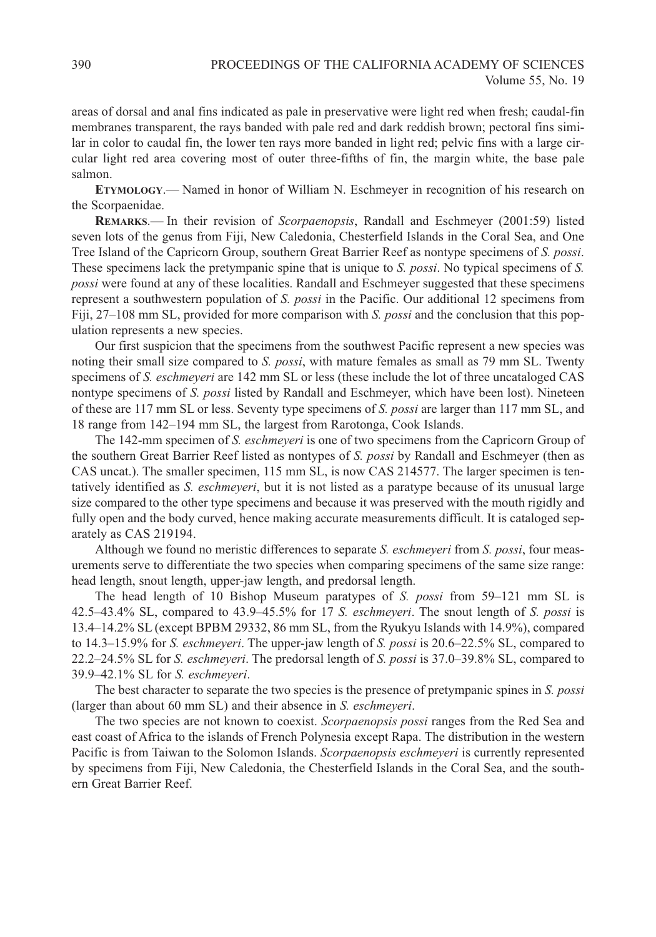areas of dorsal and anal fins indicated as pale in preservative were light red when fresh; caudal-fin membranes transparent, the rays banded with pale red and dark reddish brown; pectoral fins similar in color to caudal fin, the lower ten rays more banded in light red; pelvic fins with a large circular light red area covering most of outer three-fifths of fin, the margin white, the base pale salmon.

**ETYMOLOGY**.— Named in honor of William N. Eschmeyer in recognition of his research on the Scorpaenidae.

**REMARKS**.— In their revision of *Scorpaenopsis*, Randall and Eschmeyer (2001:59) listed seven lots of the genus from Fiji, New Caledonia, Chesterfield Islands in the Coral Sea, and One Tree Island of the Capricorn Group, southern Great Barrier Reef as nontype specimens of *S. possi*. These specimens lack the pretympanic spine that is unique to *S. possi*. No typical specimens of *S. possi* were found at any of these localities. Randall and Eschmeyer suggested that these specimens represent a southwestern population of *S. possi* in the Pacific. Our additional 12 specimens from Fiji, 27–108 mm SL, provided for more comparison with *S. possi* and the conclusion that this population represents a new species.

Our first suspicion that the specimens from the southwest Pacific represent a new species was noting their small size compared to *S. possi*, with mature females as small as 79 mm SL. Twenty specimens of *S. eschmeyeri* are 142 mm SL or less (these include the lot of three uncataloged CAS nontype specimens of *S. possi* listed by Randall and Eschmeyer, which have been lost). Nineteen of these are 117 mm SL or less. Seventy type specimens of *S. possi* are larger than 117 mm SL, and 18 range from 142–194 mm SL, the largest from Rarotonga, Cook Islands.

The 142-mm specimen of *S. eschmeyeri* is one of two specimens from the Capricorn Group of the southern Great Barrier Reef listed as nontypes of *S. possi* by Randall and Eschmeyer (then as CAS uncat.). The smaller specimen, 115 mm SL, is now CAS 214577. The larger specimen is tentatively identified as *S. eschmeyeri*, but it is not listed as a paratype because of its unusual large size compared to the other type specimens and because it was preserved with the mouth rigidly and fully open and the body curved, hence making accurate measurements difficult. It is cataloged separately as CAS 219194.

Although we found no meristic differences to separate *S. eschmeyeri* from *S. possi*, four measurements serve to differentiate the two species when comparing specimens of the same size range: head length, snout length, upper-jaw length, and predorsal length.

The head length of 10 Bishop Museum paratypes of *S. possi* from 59–121 mm SL is 42.5–43.4% SL, compared to 43.9–45.5% for 17 *S. eschmeyeri*. The snout length of *S. possi* is 13.4–14.2% SL (except BPBM 29332, 86 mm SL, from the Ryukyu Islands with 14.9%), compared to 14.3–15.9% for *S. eschmeyeri*. The upper-jaw length of *S. possi* is 20.6–22.5% SL, compared to 22.2–24.5% SL for *S. eschmeyeri*. The predorsal length of *S. possi* is 37.0–39.8% SL, compared to 39.9–42.1% SL for *S. eschmeyeri*.

The best character to separate the two species is the presence of pretympanic spines in *S. possi* (larger than about 60 mm SL) and their absence in *S. eschmeyeri*.

The two species are not known to coexist. *Scorpaenopsis possi* ranges from the Red Sea and east coast of Africa to the islands of French Polynesia except Rapa. The distribution in the western Pacific is from Taiwan to the Solomon Islands. *Scorpaenopsis eschmeyeri* is currently represented by specimens from Fiji, New Caledonia, the Chesterfield Islands in the Coral Sea, and the southern Great Barrier Reef.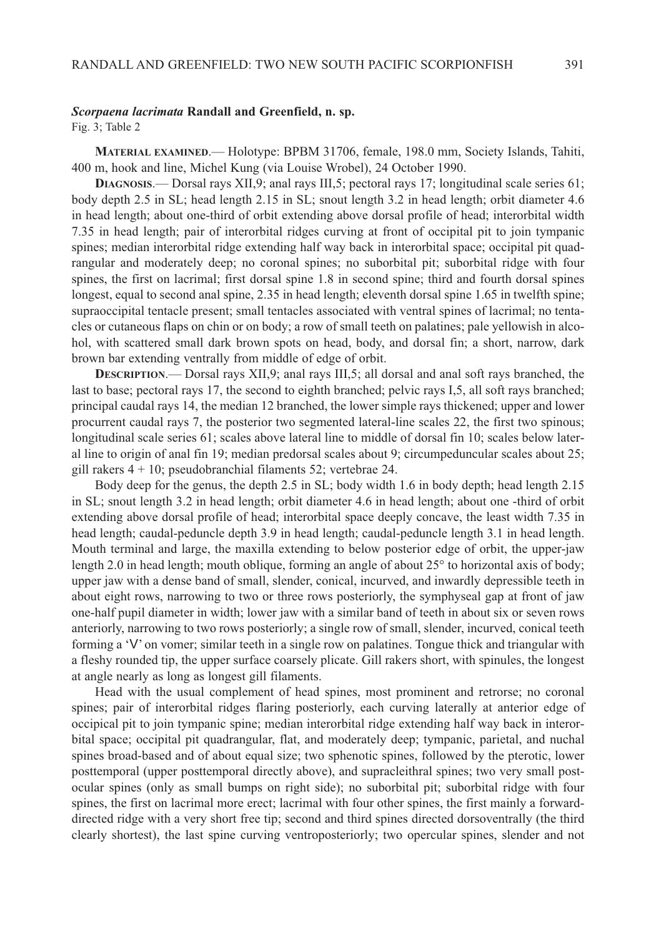#### *Scorpaena lacrimata* **Randall and Greenfield, n. sp.**

Fig. 3; Table 2

**MATERIAL EXAMINED**.— Holotype: BPBM 31706, female, 198.0 mm, Society Islands, Tahiti, 400 m, hook and line, Michel Kung (via Louise Wrobel), 24 October 1990.

**DIAGNOSIS**.— Dorsal rays XII,9; anal rays III,5; pectoral rays 17; longitudinal scale series 61; body depth 2.5 in SL; head length 2.15 in SL; snout length 3.2 in head length; orbit diameter 4.6 in head length; about one-third of orbit extending above dorsal profile of head; interorbital width 7.35 in head length; pair of interorbital ridges curving at front of occipital pit to join tympanic spines; median interorbital ridge extending half way back in interorbital space; occipital pit quadrangular and moderately deep; no coronal spines; no suborbital pit; suborbital ridge with four spines, the first on lacrimal; first dorsal spine 1.8 in second spine; third and fourth dorsal spines longest, equal to second anal spine, 2.35 in head length; eleventh dorsal spine 1.65 in twelfth spine; supraoccipital tentacle present; small tentacles associated with ventral spines of lacrimal; no tentacles or cutaneous flaps on chin or on body; a row of small teeth on palatines; pale yellowish in alcohol, with scattered small dark brown spots on head, body, and dorsal fin; a short, narrow, dark brown bar extending ventrally from middle of edge of orbit.

**DESCRIPTION**.— Dorsal rays XII,9; anal rays III,5; all dorsal and anal soft rays branched, the last to base; pectoral rays 17, the second to eighth branched; pelvic rays I,5, all soft rays branched; principal caudal rays 14, the median 12 branched, the lower simple rays thickened; upper and lower procurrent caudal rays 7, the posterior two segmented lateral-line scales 22, the first two spinous; longitudinal scale series 61; scales above lateral line to middle of dorsal fin 10; scales below lateral line to origin of anal fin 19; median predorsal scales about 9; circumpeduncular scales about 25; gill rakers 4 + 10; pseudobranchial filaments 52; vertebrae 24.

Body deep for the genus, the depth 2.5 in SL; body width 1.6 in body depth; head length 2.15 in SL; snout length 3.2 in head length; orbit diameter 4.6 in head length; about one -third of orbit extending above dorsal profile of head; interorbital space deeply concave, the least width 7.35 in head length; caudal-peduncle depth 3.9 in head length; caudal-peduncle length 3.1 in head length. Mouth terminal and large, the maxilla extending to below posterior edge of orbit, the upper-jaw length 2.0 in head length; mouth oblique, forming an angle of about 25° to horizontal axis of body; upper jaw with a dense band of small, slender, conical, incurved, and inwardly depressible teeth in about eight rows, narrowing to two or three rows posteriorly, the symphyseal gap at front of jaw one-half pupil diameter in width; lower jaw with a similar band of teeth in about six or seven rows anteriorly, narrowing to two rows posteriorly; a single row of small, slender, incurved, conical teeth forming a 'V' on vomer; similar teeth in a single row on palatines. Tongue thick and triangular with a fleshy rounded tip, the upper surface coarsely plicate. Gill rakers short, with spinules, the longest at angle nearly as long as longest gill filaments.

Head with the usual complement of head spines, most prominent and retrorse; no coronal spines; pair of interorbital ridges flaring posteriorly, each curving laterally at anterior edge of occipical pit to join tympanic spine; median interorbital ridge extending half way back in interorbital space; occipital pit quadrangular, flat, and moderately deep; tympanic, parietal, and nuchal spines broad-based and of about equal size; two sphenotic spines, followed by the pterotic, lower posttemporal (upper posttemporal directly above), and supracleithral spines; two very small postocular spines (only as small bumps on right side); no suborbital pit; suborbital ridge with four spines, the first on lacrimal more erect; lacrimal with four other spines, the first mainly a forwarddirected ridge with a very short free tip; second and third spines directed dorsoventrally (the third clearly shortest), the last spine curving ventroposteriorly; two opercular spines, slender and not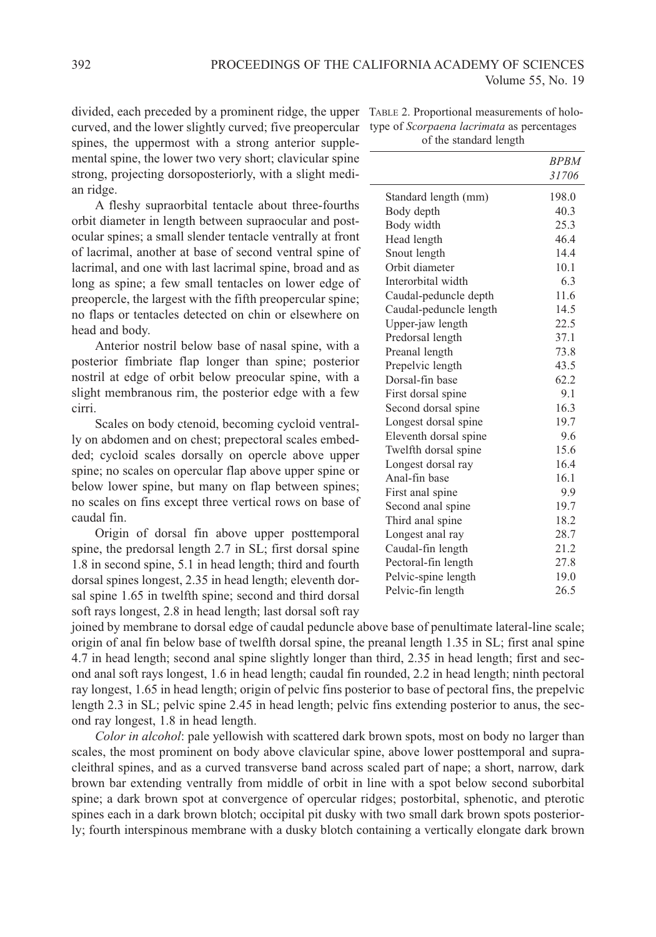divided, each preceded by a prominent ridge, the upper TABLE 2. Proportional measurements of holocurved, and the lower slightly curved; five preopercular type of *Scorpaena lacrimata* as percentages spines, the uppermost with a strong anterior supplemental spine, the lower two very short; clavicular spine strong, projecting dorsoposteriorly, with a slight median ridge.

A fleshy supraorbital tentacle about three-fourths orbit diameter in length between supraocular and postocular spines; a small slender tentacle ventrally at front of lacrimal, another at base of second ventral spine of lacrimal, and one with last lacrimal spine, broad and as long as spine; a few small tentacles on lower edge of preopercle, the largest with the fifth preopercular spine; no flaps or tentacles detected on chin or elsewhere on head and body.

Anterior nostril below base of nasal spine, with a posterior fimbriate flap longer than spine; posterior nostril at edge of orbit below preocular spine, with a slight membranous rim, the posterior edge with a few cirri.

Scales on body ctenoid, becoming cycloid ventrally on abdomen and on chest; prepectoral scales embedded; cycloid scales dorsally on opercle above upper spine; no scales on opercular flap above upper spine or below lower spine, but many on flap between spines; no scales on fins except three vertical rows on base of caudal fin.

Origin of dorsal fin above upper posttemporal spine, the predorsal length 2.7 in SL; first dorsal spine 1.8 in second spine, 5.1 in head length; third and fourth dorsal spines longest, 2.35 in head length; eleventh dorsal spine 1.65 in twelfth spine; second and third dorsal soft rays longest, 2.8 in head length; last dorsal soft ray

of the standard length

|                        | <b>BPBM</b> |
|------------------------|-------------|
|                        | 31706       |
| Standard length (mm)   | 198.0       |
| Body depth             | 40.3        |
| Body width             | 25.3        |
| Head length            | 46.4        |
| Snout length           | 14.4        |
| Orbit diameter         | 10.1        |
| Interorbital width     | 6.3         |
| Caudal-peduncle depth  | 11.6        |
| Caudal-peduncle length | 14.5        |
| Upper-jaw length       | 22.5        |
| Predorsal length       | 37.1        |
| Preanal length         | 73.8        |
| Prepelvic length       | 43.5        |
| Dorsal-fin base        | 62.2        |
| First dorsal spine     | 9.1         |
| Second dorsal spine    | 16.3        |
| Longest dorsal spine   | 19.7        |
| Eleventh dorsal spine  | 9.6         |
| Twelfth dorsal spine   | 15.6        |
| Longest dorsal ray     | 16.4        |
| Anal-fin base          | 16.1        |
| First anal spine       | 9.9         |
| Second anal spine      | 19.7        |
| Third anal spine       | 18.2        |
| Longest anal ray       | 28.7        |
| Caudal-fin length      | 21.2        |
| Pectoral-fin length    | 27.8        |
| Pelvic-spine length    | 19.0        |
| Pelvic-fin length      | 26.5        |

joined by membrane to dorsal edge of caudal peduncle above base of penultimate lateral-line scale; origin of anal fin below base of twelfth dorsal spine, the preanal length 1.35 in SL; first anal spine 4.7 in head length; second anal spine slightly longer than third, 2.35 in head length; first and second anal soft rays longest, 1.6 in head length; caudal fin rounded, 2.2 in head length; ninth pectoral ray longest, 1.65 in head length; origin of pelvic fins posterior to base of pectoral fins, the prepelvic length 2.3 in SL; pelvic spine 2.45 in head length; pelvic fins extending posterior to anus, the second ray longest, 1.8 in head length.

*Color in alcohol*: pale yellowish with scattered dark brown spots, most on body no larger than scales, the most prominent on body above clavicular spine, above lower posttemporal and supracleithral spines, and as a curved transverse band across scaled part of nape; a short, narrow, dark brown bar extending ventrally from middle of orbit in line with a spot below second suborbital spine; a dark brown spot at convergence of opercular ridges; postorbital, sphenotic, and pterotic spines each in a dark brown blotch; occipital pit dusky with two small dark brown spots posteriorly; fourth interspinous membrane with a dusky blotch containing a vertically elongate dark brown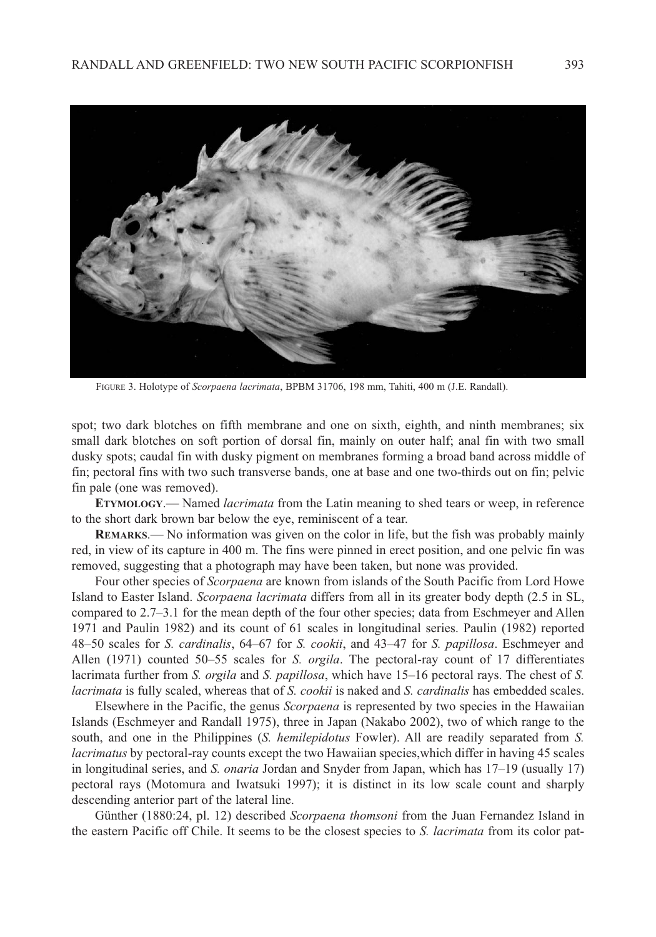

FIGURE 3. Holotype of *Scorpaena lacrimata*, BPBM 31706, 198 mm, Tahiti, 400 m (J.E. Randall).

spot; two dark blotches on fifth membrane and one on sixth, eighth, and ninth membranes; six small dark blotches on soft portion of dorsal fin, mainly on outer half; anal fin with two small dusky spots; caudal fin with dusky pigment on membranes forming a broad band across middle of fin; pectoral fins with two such transverse bands, one at base and one two-thirds out on fin; pelvic fin pale (one was removed).

**ETYMOLOGY**.— Named *lacrimata* from the Latin meaning to shed tears or weep, in reference to the short dark brown bar below the eye, reminiscent of a tear.

**REMARKS**.— No information was given on the color in life, but the fish was probably mainly red, in view of its capture in 400 m. The fins were pinned in erect position, and one pelvic fin was removed, suggesting that a photograph may have been taken, but none was provided.

Four other species of *Scorpaena* are known from islands of the South Pacific from Lord Howe Island to Easter Island. *Scorpaena lacrimata* differs from all in its greater body depth (2.5 in SL, compared to 2.7–3.1 for the mean depth of the four other species; data from Eschmeyer and Allen 1971 and Paulin 1982) and its count of 61 scales in longitudinal series. Paulin (1982) reported 48–50 scales for *S. cardinalis*, 64–67 for *S. cookii*, and 43–47 for *S. papillosa*. Eschmeyer and Allen (1971) counted 50–55 scales for *S. orgila*. The pectoral-ray count of 17 differentiates lacrimata further from *S. orgila* and *S. papillosa*, which have 15–16 pectoral rays. The chest of *S. lacrimata* is fully scaled, whereas that of *S. cookii* is naked and *S. cardinalis* has embedded scales.

Elsewhere in the Pacific, the genus *Scorpaena* is represented by two species in the Hawaiian Islands (Eschmeyer and Randall 1975), three in Japan (Nakabo 2002), two of which range to the south, and one in the Philippines (*S. hemilepidotus* Fowler). All are readily separated from *S. lacrimatus* by pectoral-ray counts except the two Hawaiian species,which differ in having 45 scales in longitudinal series, and *S. onaria* Jordan and Snyder from Japan, which has 17–19 (usually 17) pectoral rays (Motomura and Iwatsuki 1997); it is distinct in its low scale count and sharply descending anterior part of the lateral line.

Günther (1880:24, pl. 12) described *Scorpaena thomsoni* from the Juan Fernandez Island in the eastern Pacific off Chile. It seems to be the closest species to *S. lacrimata* from its color pat